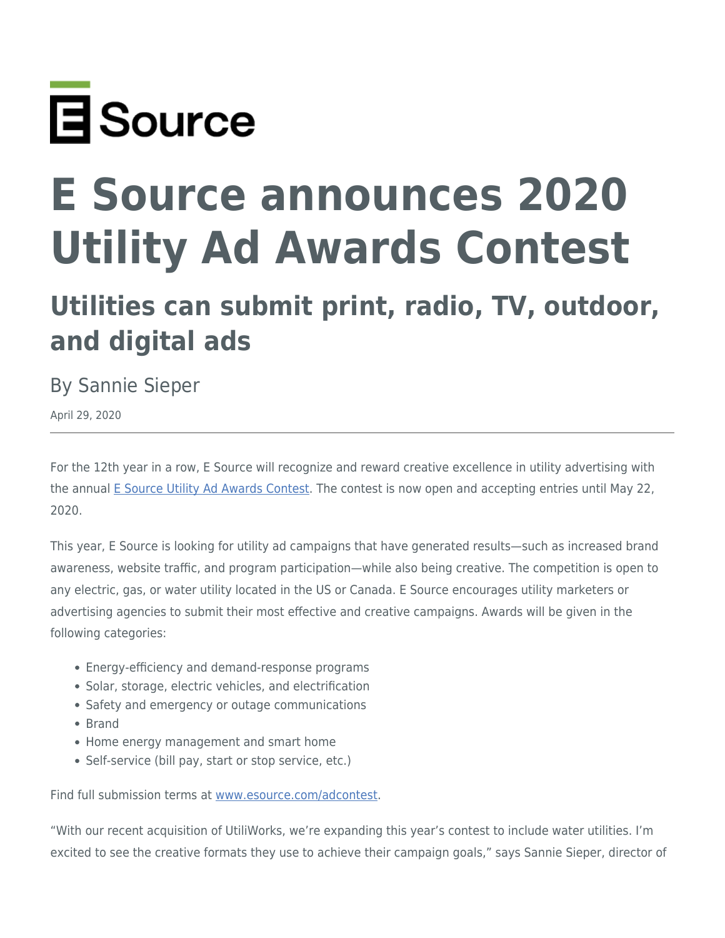

## **E Source announces 2020 Utility Ad Awards Contest**

## **Utilities can submit print, radio, TV, outdoor, and digital ads**

By Sannie Sieper

April 29, 2020

For the 12th year in a row, E Source will recognize and reward creative excellence in utility advertising with the annual [E Source Utility Ad Awards Contest](https://www.esource.com/adcontest). The contest is now open and accepting entries until May 22, 2020.

This year, E Source is looking for utility ad campaigns that have generated results—such as increased brand awareness, website traffic, and program participation—while also being creative. The competition is open to any electric, gas, or water utility located in the US or Canada. E Source encourages utility marketers or advertising agencies to submit their most effective and creative campaigns. Awards will be given in the following categories:

- Energy-efficiency and demand-response programs
- Solar, storage, electric vehicles, and electrification
- Safety and emergency or outage communications
- Brand
- Home energy management and smart home
- Self-service (bill pay, start or stop service, etc.)

Find full submission terms at [www.esource.com/adcontest.](https://www.esource.com/adcontest)

"With our recent acquisition of UtiliWorks, we're expanding this year's contest to include water utilities. I'm excited to see the creative formats they use to achieve their campaign goals," says Sannie Sieper, director of